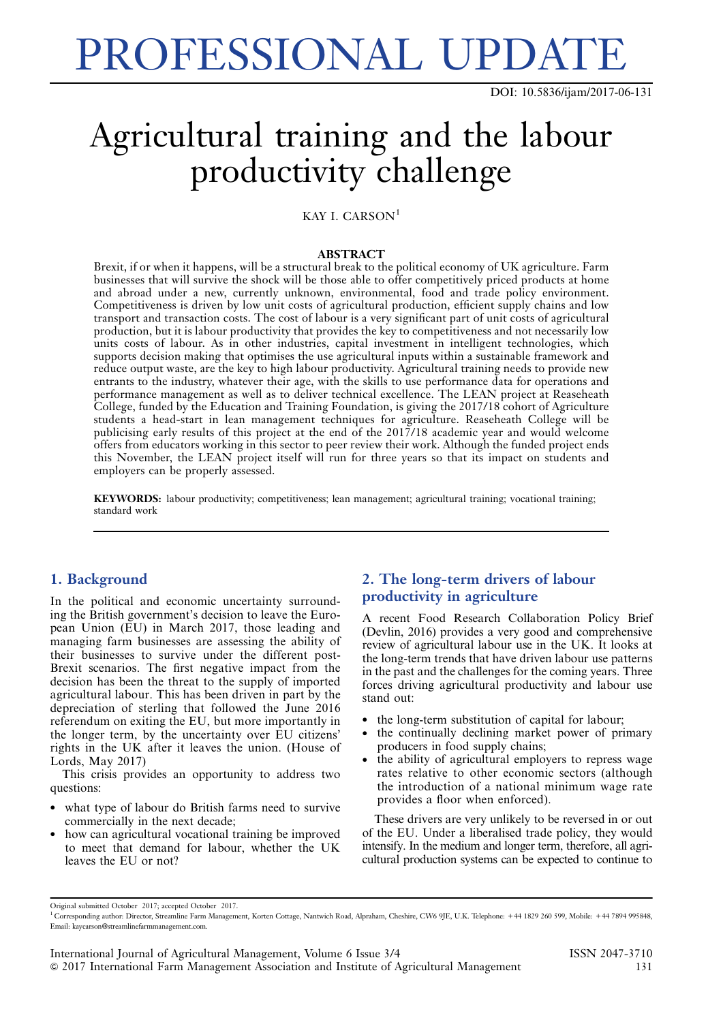# PROFESSIONAL UPDATE

DOI: 10.5836/ijam/2017-06-131

# Agricultural training and the labour productivity challenge

KAY I. CARSON<sup>1</sup>

#### ABSTRACT

Brexit, if or when it happens, will be a structural break to the political economy of UK agriculture. Farm businesses that will survive the shock will be those able to offer competitively priced products at home and abroad under a new, currently unknown, environmental, food and trade policy environment. Competitiveness is driven by low unit costs of agricultural production, efficient supply chains and low transport and transaction costs. The cost of labour is a very significant part of unit costs of agricultural production, but it is labour productivity that provides the key to competitiveness and not necessarily low units costs of labour. As in other industries, capital investment in intelligent technologies, which supports decision making that optimises the use agricultural inputs within a sustainable framework and reduce output waste, are the key to high labour productivity. Agricultural training needs to provide new entrants to the industry, whatever their age, with the skills to use performance data for operations and performance management as well as to deliver technical excellence. The LEAN project at Reaseheath College, funded by the Education and Training Foundation, is giving the 2017/18 cohort of Agriculture students a head-start in lean management techniques for agriculture. Reaseheath College will be publicising early results of this project at the end of the 2017/18 academic year and would welcome offers from educators working in this sector to peer review their work. Although the funded project ends this November, the LEAN project itself will run for three years so that its impact on students and employers can be properly assessed.

KEYWORDS: labour productivity; competitiveness; lean management; agricultural training; vocational training; standard work

#### 1. Background

In the political and economic uncertainty surrounding the British government's decision to leave the European Union (EU) in March 2017, those leading and managing farm businesses are assessing the ability of their businesses to survive under the different post-Brexit scenarios. The first negative impact from the decision has been the threat to the supply of imported agricultural labour. This has been driven in part by the depreciation of sterling that followed the June 2016 referendum on exiting the EU, but more importantly in the longer term, by the uncertainty over EU citizens' rights in the UK after it leaves the union. (House of Lords, May 2017)

This crisis provides an opportunity to address two questions:

- what type of labour do British farms need to survive commercially in the next decade;
- how can agricultural vocational training be improved to meet that demand for labour, whether the UK leaves the EU or not?

## 2. The long-term drivers of labour productivity in agriculture

A recent Food Research Collaboration Policy Brief (Devlin, 2016) provides a very good and comprehensive review of agricultural labour use in the UK. It looks at the long-term trends that have driven labour use patterns in the past and the challenges for the coming years. Three forces driving agricultural productivity and labour use stand out:

- the long-term substitution of capital for labour;
- the continually declining market power of primary producers in food supply chains;
- the ability of agricultural employers to repress wage rates relative to other economic sectors (although the introduction of a national minimum wage rate provides a floor when enforced).

These drivers are very unlikely to be reversed in or out of the EU. Under a liberalised trade policy, they would intensify. In the medium and longer term, therefore, all agricultural production systems can be expected to continue to

Original submitted October 2017; accepted October 2017.

<sup>&</sup>lt;sup>1</sup> Corresponding author: Director, Streamline Farm Management, Korten Cottage, Nantwich Road, Alpraham, Cheshire, CW6 9JE, U.K. Telephone: +44 1829 260 599, Mobile: +44 7894 995848, Email: kaycarson@streamlinefarmmanagement.com.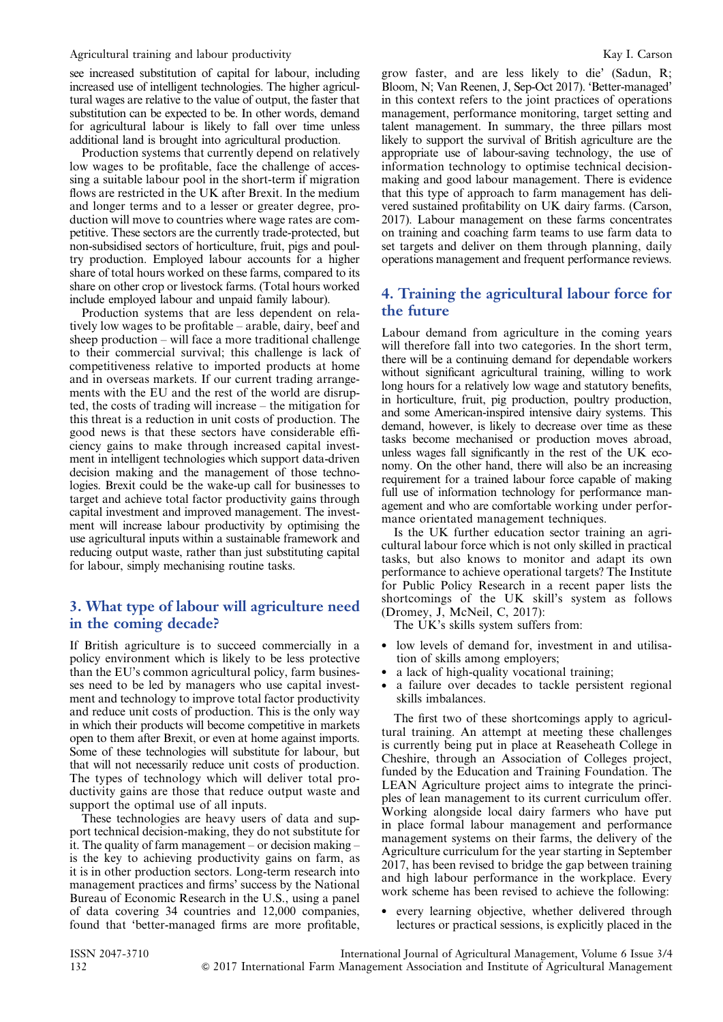see increased substitution of capital for labour, including increased use of intelligent technologies. The higher agricultural wages are relative to the value of output, the faster that substitution can be expected to be. In other words, demand for agricultural labour is likely to fall over time unless additional land is brought into agricultural production.

Production systems that currently depend on relatively low wages to be profitable, face the challenge of accessing a suitable labour pool in the short-term if migration flows are restricted in the UK after Brexit. In the medium and longer terms and to a lesser or greater degree, production will move to countries where wage rates are competitive. These sectors are the currently trade-protected, but non-subsidised sectors of horticulture, fruit, pigs and poultry production. Employed labour accounts for a higher share of total hours worked on these farms, compared to its share on other crop or livestock farms. (Total hours worked include employed labour and unpaid family labour).

Production systems that are less dependent on relatively low wages to be profitable – arable, dairy, beef and sheep production – will face a more traditional challenge to their commercial survival; this challenge is lack of competitiveness relative to imported products at home and in overseas markets. If our current trading arrangements with the EU and the rest of the world are disrupted, the costs of trading will increase – the mitigation for this threat is a reduction in unit costs of production. The good news is that these sectors have considerable efficiency gains to make through increased capital investment in intelligent technologies which support data-driven decision making and the management of those technologies. Brexit could be the wake-up call for businesses to target and achieve total factor productivity gains through capital investment and improved management. The investment will increase labour productivity by optimising the use agricultural inputs within a sustainable framework and reducing output waste, rather than just substituting capital for labour, simply mechanising routine tasks.

#### 3. What type of labour will agriculture need in the coming decade?

If British agriculture is to succeed commercially in a policy environment which is likely to be less protective than the EU's common agricultural policy, farm businesses need to be led by managers who use capital investment and technology to improve total factor productivity and reduce unit costs of production. This is the only way in which their products will become competitive in markets open to them after Brexit, or even at home against imports. Some of these technologies will substitute for labour, but that will not necessarily reduce unit costs of production. The types of technology which will deliver total productivity gains are those that reduce output waste and support the optimal use of all inputs.

These technologies are heavy users of data and support technical decision-making, they do not substitute for it. The quality of farm management – or decision making – is the key to achieving productivity gains on farm, as it is in other production sectors. Long-term research into management practices and firms' success by the National Bureau of Economic Research in the U.S., using a panel of data covering 34 countries and 12,000 companies, found that 'better-managed firms are more profitable, grow faster, and are less likely to die' (Sadun, R; Bloom, N; Van Reenen, J, Sep-Oct 2017). 'Better-managed' in this context refers to the joint practices of operations management, performance monitoring, target setting and talent management. In summary, the three pillars most likely to support the survival of British agriculture are the appropriate use of labour-saving technology, the use of information technology to optimise technical decisionmaking and good labour management. There is evidence that this type of approach to farm management has delivered sustained profitability on UK dairy farms. (Carson, 2017). Labour management on these farms concentrates on training and coaching farm teams to use farm data to set targets and deliver on them through planning, daily operations management and frequent performance reviews.

### 4. Training the agricultural labour force for the future

Labour demand from agriculture in the coming years will therefore fall into two categories. In the short term, there will be a continuing demand for dependable workers without significant agricultural training, willing to work long hours for a relatively low wage and statutory benefits, in horticulture, fruit, pig production, poultry production, and some American-inspired intensive dairy systems. This demand, however, is likely to decrease over time as these tasks become mechanised or production moves abroad, unless wages fall significantly in the rest of the UK economy. On the other hand, there will also be an increasing requirement for a trained labour force capable of making full use of information technology for performance management and who are comfortable working under performance orientated management techniques.

Is the UK further education sector training an agricultural labour force which is not only skilled in practical tasks, but also knows to monitor and adapt its own performance to achieve operational targets? The Institute for Public Policy Research in a recent paper lists the shortcomings of the UK skill's system as follows (Dromey, J, McNeil, C, 2017):

The UK's skills system suffers from:

- low levels of demand for, investment in and utilisation of skills among employers;
- a lack of high-quality vocational training;
- a failure over decades to tackle persistent regional skills imbalances.

The first two of these shortcomings apply to agricultural training. An attempt at meeting these challenges is currently being put in place at Reaseheath College in Cheshire, through an Association of Colleges project, funded by the Education and Training Foundation. The LEAN Agriculture project aims to integrate the principles of lean management to its current curriculum offer. Working alongside local dairy farmers who have put in place formal labour management and performance management systems on their farms, the delivery of the Agriculture curriculum for the year starting in September 2017, has been revised to bridge the gap between training and high labour performance in the workplace. Every work scheme has been revised to achieve the following:

 every learning objective, whether delivered through lectures or practical sessions, is explicitly placed in the